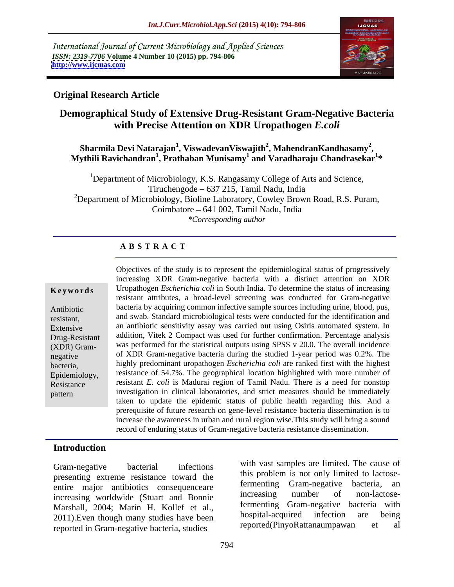International Journal of Current Microbiology and Applied Sciences *ISSN: 2319-7706* **Volume 4 Number 10 (2015) pp. 794-806 <http://www.ijcmas.com>**



### **Original Research Article**

# **Demographical Study of Extensive Drug-Resistant Gram-Negative Bacteria with Precise Attention on XDR Uropathogen** *E.coli*

### **Sharmila Devi Natarajan<sup>1</sup> , ViswadevanViswajith<sup>2</sup> , MahendranKandhasamy<sup>2</sup>**  $\mathbf{M}$  Sharmila Devi Natarajan $^1$ , Viswadevan $\mathbf{V}$ iswajith $^2$ , Mahendran $\mathbf{K}$ andhasam $\mathbf{y}^2$ , Mythili Ravichandran $^1$ , Prathaban Munisam $\mathbf{y}^1$  and  $\mathbf{V}$ aradharaju Chandrasekar $^{1*}$ **\***

<sup>1</sup>Department of Microbiology, K.S. Rangasamy College of Arts and Science, Tiruchengode – 637 215, Tamil Nadu, India <sup>2</sup>Department of Microbiology, Bioline Laboratory, Cowley Brown Road, R.S. Puram, Coimbatore 641 002, Tamil Nadu, India *\*Corresponding author*

### **A B S T R A C T**

pattern

Objectives of the study is to representthe epidemiological status of progressively increasing XDR Gram-negative bacteria with a distinct attention on XDR Uropathogen *Escherichia coli* in South India. To determine the status of increasing **Ke ywo rds** resistant attributes, a broad-level screening was conducted for Gram-negative bacteria by acquiring common infective sample sources including urine, blood, pus, Antibiotic and swab. Standard microbiological tests were conducted for the identification and resistant, Extensive an antibiotic sensitivity assay was carried out using Osiris automated system. In addition, Vitek 2 Compact was used for further confirmation. Percentage analysis Drug-Resistant was performed for the statistical outputs using SPSS v 20.0. The overall incidence (XDR) Gram of XDR Gram-negative bacteria during the studied 1-year period was 0.2%. The negative highly predominant uropathogen *Escherichia coli* are ranked first with the highest bacteria, Epidemiology, resistance of 54.7%. The geographical location highlighted with more number of resistant *E. coli* is Madurai region of Tamil Nadu. There is a need for nonstop Resistance investigation in clinical laboratories, and strict measures should be immediately taken to update the epidemic status of public health regarding this. And a prerequisite of future research on gene-level resistance bacteria dissemination is to increase the awareness in urban and rural region wise.This study will bring a sound record of enduring status of Gram-negative bacteria resistance dissemination.

### **Introduction**

presenting extreme resistance toward the this problem is not only limited to lactose-<br>fermenting Gram-negative bacteria, an entire major antibiotics consequenceare increasing oram-negative bacteria, and<br>increasing number of non-lactoseincreasing worldwide (Stuart and Bonnie Marshall, 2004; Marin H. Kollef et al.,<br>2011) Even though many studies have been a hospital-acquired infection are being 2011).Even though many studies have been hospital-acquired infection are being<br>reported(PinvoRattanaumpawan et al reported in Gram-negative bacteria, studies

Gram-negative bacterial infections with vast samples are limited. The cause of this problem is not only limited to lactosefermenting Gram-negative increasing number of non-lactosefermenting Gram-negative bacteria with hospital-acquired infection are being reported(PinyoRattanaumpawan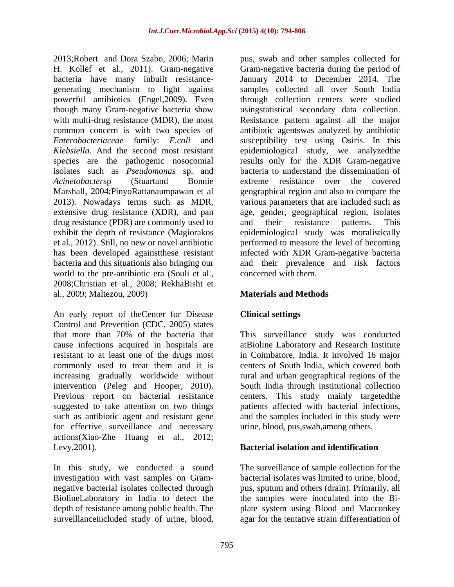H. Kollef et al., 2011). Gram-negative bacteria have many inbuilt resistance- *Klebsiella*. And the second most resistant isolates such as *Pseudomonas* sp. and Marshall, 2004;PinyoRattanaumpawan et al drug resistance (PDR) are commonly used to and their resistance patterns. This world to the pre-antibiotic era (Souli et al., 2008;Christian et al., 2008; RekhaBisht et al., 2009; Maltezou, 2009)

An early report of theCenter for Disease Clinical settings Control and Prevention (CDC, 2005) states that more than 70% of the bacteria that This surveillance study was conducted cause infections acquired in hospitals are resistant to at least one of the drugs most in Coimbatore, India. It involved 16 major commonly used to treat them and it is increasing gradually worldwide without intervention (Peleg and Hooper, 2010). South India through institutional collection Previous report on bacterial resistance centers. This study mainly targetedthe suggested to take attention on two things patients affected with bacterial infections, such as antibiotic agent and resistant gene and the samples included in this study were for effective surveillance and necessary actions(Xiao-Zhe Huang et al., 2012; Levy,2001). **Bacterial isolation and identification**

In this study, we conducted a sound The surveillance of sample collection for the investigation with vast samples on Gram- bacterial isolates was limited to urine, blood, negative bacterial isolates collected through BiolineLaboratory in India to detect the the samples were inoculated into the Bi depth of resistance among public health. The plate system using Blood and Macconkey surveillanceincluded study of urine, blood, agar for the tentative strain differentiation of

2013;Robert and Dora Szabo, 2006; Marin pus, swab and other samples collected for generating mechanism to fight against samples collected all over South India powerful antibiotics (Engel,2009). Even through collection centers were studied though many Gram-negative bacteria show usingstatistical secondary data collection. with multi-drug resistance (MDR), the most Resistance pattern against all the major common concern is with two species of antibiotic agentswas analyzed by antibiotic *Enterobacteriaceae* family: *E.coli* and susceptibility test using Osiris. In this species are the pathogenic nosocomial results only for the XDR Gram-negative *Acinetobacter*sp (Stuartand Bonnie extreme resistance over the covered 2013). Nowadays terms such as MDR, various parameters that are included such as extensive drug resistance (XDR), and pan age, gender, geographical region, isolates exhibit the depth of resistance (Magiorakos epidemiological study was moralistically et al., 2012). Still, no new or novel antibiotic performed to measure the level of becoming has been developed againstthese resistant infected with XDR Gram-negative bacteria bacteria and this situationis also bringing our and their prevalence and risk factors Gram-negative bacteria during the period of January 2014 to December 2014. The epidemiological study, we analyzedthe bacteria to understand the dissemination of geographical region and also to compare the and their resistance patterns. This concerned with them.

### **Materials and Methods**

## **Clinical settings**

atBioline Laboratory and Research Institute centers of South India, which covered both rural and urban geographical regions of the patients affected with bacterial infections,<br>and the samples included in this study were urine, blood, pus,swab,among others.

pus, sputum and others (drain). Primarily, all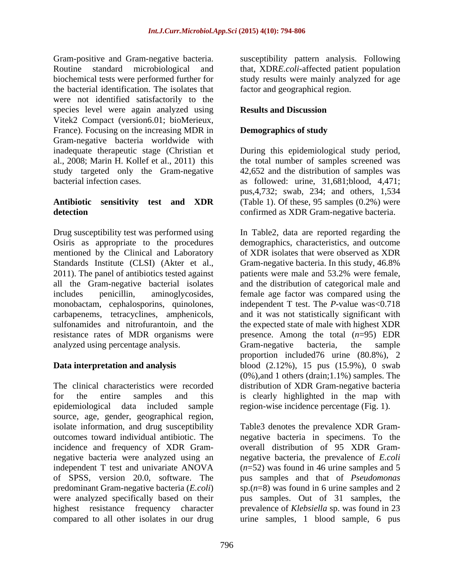Gram-positive and Gram-negative bacteria. Susceptibility pattern analysis. Following Routine standard microbiological and that, XDR*E.coli*-affected patient population biochemical tests were performed further for study results were mainly analyzed for age the bacterial identification. The isolates that were not identified satisfactorily to the species level were again analyzed using **Results and Discussion** Vitek2 Compact (version6.01; bioMerieux, France). Focusing on the increasing MDR in **Demographics of study** Gram-negative bacteria worldwide with inadequate therapeutic stage (Christian et During this epidemiological study period, al., 2008; Marin H. Kollef et al., 2011) this the total number of samples screened was study targeted only the Gram-negative bacterial infection cases. as followed: urine, 31,681;blood, 4,471;

Osiris as appropriate to the procedures mentioned by the Clinical and Laboratory 2011). The panel of antibiotics tested against patients were male and 53.2% were female, all the Gram-negative bacterial isolates analyzed using percentage analysis. Gram-negative bacteria, the sample

The clinical characteristics were recorded distribution of XDR Gram-negative bacteria for the entire samples and this is clearly highlighted in the map with epidemiological data included sample region-wise incidence percentage (Fig. 1). source, age, gender, geographical region, compared to all other isolates in our drug urine samples, 1 blood sample, 6 pus

factor and geographical region.

## **Results and Discussion**

### **Demographics of study**

**Antibiotic sensitivity test and XDR** (Table 1). Of these, 95 samples (0.2%) were **detection** confirmed as XDR Gram-negative bacteria. 42,652 and the distribution of samples was pus,4,732; swab, 234; and others, 1,534

Drug susceptibility test was performed using In Table2, data are reported regarding the Standards Institute (CLSI) (Akter et al., Gram-negative bacteria. In this study, 46.8% includes penicillin, aminoglycosides, female age factor was compared using the monobactam, cephalosporins, quinolones, independent T test. The *P*-value was<0.718 carbapenems, tetracyclines, amphenicols, and it was not statistically significant with sulfonamides and nitrofurantoin, and the the expected state of male with highest XDR resistance rates of MDR organisms were presence. Among the total  $(n=95)$  EDR **Data interpretation and analysis** blood (2.12%), 15 pus (15.9%), 0 swab demographics, characteristics, and outcome of XDR isolates that were observed as XDR patients were male and 53.2% were female, and the distribution of categorical male and Gram-negative bacteria, the sample proportion included76 urine (80.8%), 2 (0%),and 1 others (drain;1.1%) samples. The

isolate information, and drug susceptibility Table3 denotes the prevalence XDR Gram outcomes toward individual antibiotic. The negative bacteria in specimens. To the incidence and frequency of XDR Gram- overall distribution of 95 XDR Gram negative bacteria were analyzed using an negative bacteria, the prevalence of *E.coli* independent T test and univariate ANOVA (*n*=52) was found in 46 urine samples and 5 of SPSS, version 20.0, software. The pus samples and that of *Pseudomonas* predominant Gram-negative bacteria (*E.coli*) sp.(*n*=8) was found in 6 urine samples and 2 were analyzed specifically based on their pus samples. Out of 31 samples, the highest resistance frequency character prevalence of *Klebsiella* sp. was found in 23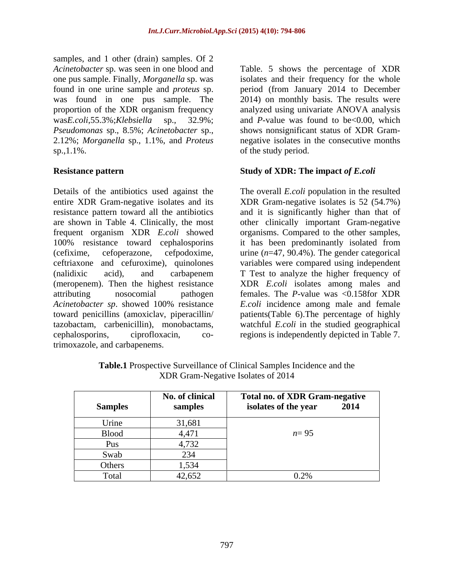samples, and 1 other (drain) samples. Of 2 *Pseudomonas* sp., 8.5%; *Acinetobacter* sp., sp.,1.1%. of the study period.

Details of the antibiotics used against the The overall *E.coli* population in the resulted entire XDR Gram-negative isolates and its XDR Gram-negative isolates is 52 (54.7%) resistance pattern toward all the antibiotics and it is significantly higher than that of are shown in Table 4. Clinically, the most other clinically important Gram-negative frequent organism XDR *E.coli* showed organisms. Compared to the other samples, 100% resistance toward cephalosporins it has been predominantly isolated from (cefixime, cefoperazone, cefpodoxime, urine (*n*=47, 90.4%). The gender categorical ceftriaxone and cefuroxime), quinolones variables were compared using independent (nalidixic acid), and carbapenem T Test to analyze the higher frequency of (meropenem). Then the highest resistance XDR *E.coli* isolates among males and attributing nosocomial pathogen females. The *P*-value was <0.158for XDR *Acinetobacter sp*. showed 100% resistance toward penicillins (amoxiclav, piperacillin/ patients(Table 6).The percentage of highly tazobactam, carbenicillin), monobactams, watchful *E.coli* in the studied geographical cephalosporins, ciprofloxacin, co-regions is independently depicted in Table 7. trimoxazole, and carbapenems.

*Acinetobacter* sp. was seen in one blood and Table. 5 shows the percentage of XDR one pus sample. Finally, *Morganella* sp. was isolates and their frequency for the whole found in one urine sample and *proteus* sp. period (from January 2014 to December was found in one pus sample. The 2014) on monthly basis. The results were proportion of the XDR organism frequency analyzed using univariate ANOVA analysis was*E.coli*,55.3%;*Klebsiella* sp., 32.9%; and *P*-value was found to be<0.00, which 2.12%; *Morganella* sp., 1.1%, and *Proteus* negative isolates in the consecutive months shows nonsignificant status of XDR Gram-

### **Resistance pattern Study of XDR: The impact** *of E.coli*

*E.coli* incidence among male and female

| <b>Samples</b> | No. of clinical<br>samples | Total no. of XDR Gram-negative<br>isolates of the year | 2014 |
|----------------|----------------------------|--------------------------------------------------------|------|
| Urine          | 31,681                     |                                                        |      |
| <b>Blood</b>   | 4,471                      | $n = 95$                                               |      |
| Pus            | 4,732                      |                                                        |      |
| Swab           | 234                        |                                                        |      |
| Others         | 1,534                      |                                                        |      |
| Total          | 42,652                     | 0.2%                                                   |      |

**Table.1** Prospective Surveillance of Clinical Samples Incidence and the XDR Gram-Negative Isolates of 2014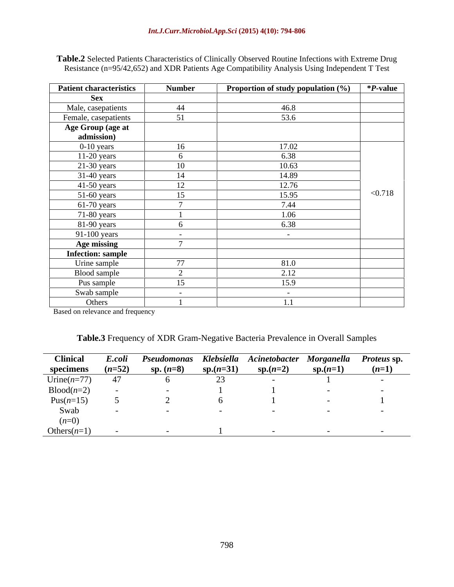**Table.2** Selected Patients Characteristics of Clinically Observed Routine Infections with Extreme Drug Resistance (n=95/42,652) and XDR Patients Age Compatibility Analysis Using Independent T Test

| <b>Patient characteristics</b>  | <b>Number</b>            | Proportion of study population (%) | *P-value |
|---------------------------------|--------------------------|------------------------------------|----------|
| <b>Sex</b>                      |                          |                                    |          |
| Male, casepatients              | 44                       | 46.8                               |          |
| Female, casepatients            | 51                       | 53.6                               |          |
| Age Group (age at<br>admission) |                          |                                    |          |
| $0-10$ years                    | 16                       | 17.02                              |          |
| $11-20$ years                   | 6                        | 6.38                               |          |
| $21-30$ years                   | 10                       | 10.63                              |          |
| $31-40$ years                   | 14                       | 14.89                              |          |
| $41-50$ years                   | 12                       | 12.76                              |          |
| $51-60$ years                   | 15                       | 15.95                              | < 0.718  |
| $61-70$ years                   |                          | 7.44                               |          |
| $71-80$ years                   |                          | 1.06                               |          |
| 81-90 years                     |                          | 6.38                               |          |
| 91-100 years                    | $\overline{\phantom{0}}$ | $\sim$ $-$                         |          |
| <b>Age missing</b>              | $\overline{ }$           |                                    |          |
| <b>Infection: sample</b>        |                          |                                    |          |
| Urine sample                    | 77                       | 81.0                               |          |
| Blood sample                    | $\sim$                   | 2.12                               |          |
| Pus sample                      | 15                       | 15.9                               |          |
| Swab sample                     | $\overline{\phantom{0}}$ | $\sim$                             |          |
| Others<br>$\sim$                |                          | 1.1                                |          |

Based on relevance and frequency

| <b>Table.3</b> Frequency of XDR Gram-Negative Bacteria Prevalence in Overall Samples |  |  |
|--------------------------------------------------------------------------------------|--|--|
|                                                                                      |  |  |

| <b>Clinical</b>     | E.coli   | Pseudomonas |             | Klebsiella Acinetobacter Morganella Proteus sp. |            |         |
|---------------------|----------|-------------|-------------|-------------------------------------------------|------------|---------|
| specimens           | $(n=52)$ | sp. $(n=8)$ | $sp.(n=31)$ | $sp.(n=2)$                                      | $sp.(n=1)$ | $(n=1)$ |
| Urine $(n=77)$      |          |             |             |                                                 |            |         |
| $\text{Blood}(n=2)$ |          |             |             |                                                 |            |         |
| Pus $(n=15)$        |          |             |             |                                                 |            |         |
| Swab                |          |             |             |                                                 |            |         |
| $(n=0)$             |          |             |             |                                                 |            |         |
| Others $(n=1)$      |          |             |             |                                                 |            |         |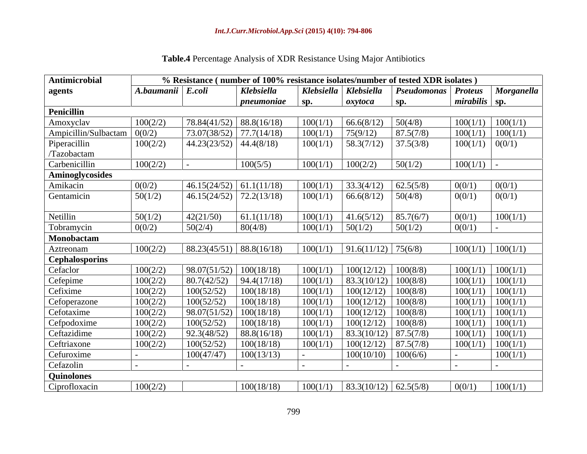| <b>Table.4</b> Percentage Analysis of<br>of XDR Resistance Using Major. | $\cdots$<br>Antibiotics |  |
|-------------------------------------------------------------------------|-------------------------|--|
|                                                                         |                         |  |

| Antimicrobial                             |                   |                             | % Resistance (number of 100% resistance isolates/number of tested XDR isolates) |          |                                      |                            |                     |                       |
|-------------------------------------------|-------------------|-----------------------------|---------------------------------------------------------------------------------|----------|--------------------------------------|----------------------------|---------------------|-----------------------|
| agents                                    | A.baumanii E.coli |                             | Klebsiella                                                                      |          | Klebsiella   Klebsiella              | <b>Pseudomonas</b> Proteus |                     | Morganella            |
|                                           |                   |                             | pneumoniae                                                                      | Sp.      | oxytoca                              | sp.                        | $mirabilis$ sp.     |                       |
| Penicillin                                |                   |                             |                                                                                 |          |                                      |                            |                     |                       |
| Amoxyclav                                 | 100(2/2)          | $78.84(41/52)$ 88.8(16/18)  |                                                                                 | 100(1/1) | 66.6(8/12)                           | 50(4/8)                    | 100(1/1)            | 100(1/1)              |
| Ampicillin/Sulbactam $\vert 0(0/2) \vert$ |                   | $73.07(38/52)$ 77.7(14/18)  |                                                                                 | 100(1/1) | 75(9/12)                             | 87.5(7/8)                  | 100(1/1)            | 100(1/1)              |
| Piperacillin                              | 100(2/2)          | $44.23(23/52)$ 44.4(8/18)   |                                                                                 | 100(1/1) | 58.3(7/12)                           | 37.5(3/8)                  | $100(1/1)$ $0(0/1)$ |                       |
| /Tazobactam                               |                   |                             |                                                                                 |          |                                      |                            |                     |                       |
| Carbenicillin                             | 100(2/2)          |                             | 100(5/5)                                                                        | 100(1/1) | 100(2/2)                             | 50(1/2)                    | $100(1/1)$ .        |                       |
| Aminoglycosides                           |                   |                             |                                                                                 |          |                                      |                            |                     |                       |
| Amikacin                                  | 0(0/2)            | $46.15(24/52)$ 61.1(11/18)  |                                                                                 | 100(1/1) | 33.3(4/12)                           | 62.5(5/8)                  | 0(0/1)              | 0(0/1)                |
| Gentamicin                                | 50(1/2)           | $46.15(24/52)$ 72.2(13/18)  |                                                                                 | 100(1/1) | 66.6(8/12)                           | 50(4/8)                    | 0(0/1)              | 0(0/1)                |
|                                           |                   |                             |                                                                                 |          |                                      |                            |                     |                       |
| Netillin                                  | 50(1/2)           | 42(21/50)                   | 61.1(11/18)                                                                     | 100(1/1) | 41.6(5/12)                           | 85.7(6/7)                  | 0(0/1)              | 100(1/1)              |
| Tobramycin                                | 0(0/2)            | 50(2/4)                     | 80(4/8)                                                                         | 100(1/1) | 50(1/2)                              | 50(1/2)                    | 0(0/1)              |                       |
| Monobactam                                |                   |                             |                                                                                 |          |                                      |                            |                     |                       |
| Aztreonam                                 | 100(2/2)          | $88.23(45/51)$ 88.8(16/18)  |                                                                                 | 100(1/1) | $\vert$ 91.6(11/12) $\vert$ 75(6/8)  |                            |                     | $100(1/1)$ $100(1/1)$ |
| <b>Cephalosporins</b>                     |                   |                             |                                                                                 |          |                                      |                            |                     |                       |
| Cefaclor                                  | 100(2/2)          | $98.07(51/52)$ 100(18/18)   |                                                                                 | 100(1/1) | 100(12/12)                           | 100(8/8)                   | 100(1/1)            | 100(1/1)              |
| Cefepime                                  | 100(2/2)          | 80.7(42/52)                 | 94.4(17/18)                                                                     | 100(1/1) | 83.3(10/12) 100(8/8)                 |                            | 100(1/1)            | 100(1/1)              |
| Cefixime                                  | 100(2/2)          | 100(52/52)                  | 100(18/18)                                                                      | 100(1/1) | 100(12/12)                           | 100(8/8)                   | 100(1/1)            | 100(1/1)              |
| Cefoperazone                              | 100(2/2)          | 100(52/52)                  | 100(18/18)                                                                      | 100(1/1) | 100(12/12)                           | 100(8/8)                   | 100(1/1)            | 100(1/1)              |
| Cefotaxime                                | 100(2/2)          | $98.07(51/52)$   100(18/18) |                                                                                 | 100(1/1) | 100(12/12)                           | 100(8/8)                   | 100(1/1)            | 100(1/1)              |
| Cefpodoxime                               | 100(2/2)          | 100(52/52)                  | 100(18/18)                                                                      | 100(1/1) | 100(12/12)                           | 100(8/8)                   | 100(1/1)            | 100(1/1)              |
| Ceftazidime                               | 100(2/2)          | 92.3(48/52)                 | 88.8(16/18)                                                                     | 100(1/1) | $83.3(10/12)$ 87.5(7/8)              |                            | 100(1/1)            | 100(1/1)              |
| Ceftriaxone                               | 100(2/2)          | 100(52/52)                  | 100(18/18)                                                                      | 100(1/1) | $100(12/12)$ 87.5(7/8)               |                            | 100(1/1)            | 100(1/1)              |
| Cefuroxime                                |                   | 100(47/47)                  | 100(13/13)                                                                      |          | $100(10/10)$   $100(6/6)$            |                            |                     | 100(1/1)              |
| Cefazolin                                 |                   |                             |                                                                                 |          |                                      |                            |                     |                       |
| Quinolones                                |                   |                             |                                                                                 |          |                                      |                            |                     |                       |
| Ciprofloxacin                             | 100(2/2)          |                             | 100(18/18)                                                                      |          | $100(1/1)$   83.3(10/12)   62.5(5/8) |                            | 0(0/1)              | 100(1/1)              |
|                                           |                   |                             |                                                                                 |          |                                      |                            |                     |                       |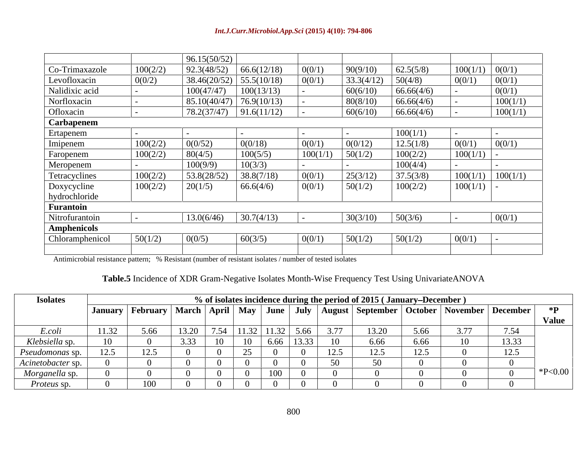|                 |          | 96.15(50/52) |                              |          |            |            |              |          |
|-----------------|----------|--------------|------------------------------|----------|------------|------------|--------------|----------|
| Co-Trimaxazole  | 100(2/2) | 92.3(48/52)  | 66.6(12/18)                  | 0(0/1)   | 90(9/10)   | 62.5(5/8)  | 100(1/1)     | 0(0/1)   |
| Levofloxacin    | 0(0/2)   |              | 38.46(20/52)   55.5(10/18)   | 0(0/1)   | 33.3(4/12) | 50(4/8)    | 0(0/1)       | 0(0/1)   |
| Nalidixic acid  |          | 100(47/47)   | 100(13/13)                   |          | 60(6/10)   | 66.66(4/6) |              | 0(0/1)   |
| Norfloxacin     |          |              | $85.10(40/47)$   76.9(10/13) |          | 80(8/10)   | 66.66(4/6) |              | 100(1/1) |
| Ofloxacin       |          | 78.2(37/47)  | 91.6(11/12)                  |          | 60(6/10)   | 66.66(4/6) |              | 100(1/1) |
| Carbapenem      |          |              |                              |          |            |            |              |          |
| Ertapenem       |          |              |                              |          |            | 100(1/1)   |              |          |
| Imipenem        | 100(2/2) | 0(0/52)      | 0(0/18)                      | 0(0/1)   | 0(0/12)    | 12.5(1/8)  | 0(0/1)       | 0(0/1)   |
| Faropenem       | 100(2/2) | 80(4/5)      | 100(5/5)                     | 100(1/1) | 50(1/2)    | 100(2/2)   | $100(1/1)$ - |          |
| Meropenem       |          | 100(9/9)     | 10(3/3)                      |          |            | 100(4/4)   |              |          |
| Tetracyclines   | 100(2/2) | 53.8(28/52)  | 38.8(7/18)                   | 0(0/1)   | 25(3/12)   | 37.5(3/8)  | 100(1/1)     | 100(1/1) |
| Doxycycline     | 100(2/2) | 20(1/5)      | 66.6(4/6)                    | 0(0/1)   | 50(1/2)    | 100(2/2)   | $100(1/1)$ - |          |
| hydrochloride   |          |              |                              |          |            |            |              |          |
| Furantoin       |          |              |                              |          |            |            |              |          |
| Nitrofurantoin  |          | 13.0(6/46)   | 30.7(4/13)                   |          | 30(3/10)   | 50(3/6)    |              | 0(0/1)   |
| Amphenicols     |          |              |                              |          |            |            |              |          |
| Chloramphenicol | 50(1/2)  | 0(0/5)       | 60(3/5)                      | 0(0/1)   | 50(1/2)    | 50(1/2)    | 0(0/1)       |          |
|                 |          |              |                              |          |            |            |              |          |
|                 |          |              |                              |          |            |            |              |          |

Antimicrobial resistance pattern; % Resistant (number of resistant isolates / number of tested isolates

### **Table.5** Incidence of XDR Gram-Negative Isolates Month-Wise Frequency Test Using UnivariateANOVA

| <b>Isolates</b>                   |                                 |                                                     |       |                           |       |                    |       |                   | % of isolates incidence during the period of 2015 (January–December) |      |                   |       |                       |
|-----------------------------------|---------------------------------|-----------------------------------------------------|-------|---------------------------|-------|--------------------|-------|-------------------|----------------------------------------------------------------------|------|-------------------|-------|-----------------------|
|                                   |                                 | January   February   March   April   May   June   . |       |                           |       |                    |       |                   | July   August   September   October   November   December            |      |                   |       | $*$ D<br><b>Value</b> |
| E.coli                            | 11.32                           | 5.66                                                | 13.20 | 7.5 <sub>A</sub><br>-ن. ا | 11.32 | 11.32 <sub>1</sub> | 5.66  | 3.77              | 13.20                                                                | 5.66 | $\cup$ . $\prime$ | 7.54  |                       |
| Klebsiella sp.                    |                                 |                                                     | 3.33  |                           | 10    | 6.66               | 13.33 |                   | 6.66                                                                 | 6.66 |                   | 13.33 |                       |
| Pseudomonas sp.                   | $1 \cap 4$<br>$1 \angle . \cup$ | 12.5                                                |       |                           | ر_    |                    |       | $1 \angle . \cup$ | 125<br>12.J                                                          | 12.5 |                   | 12.5  |                       |
| $\wedge$ <i>Acinetobacter sp.</i> |                                 |                                                     |       |                           |       |                    |       |                   |                                                                      |      |                   |       |                       |
| Morganella sp.                    |                                 |                                                     |       |                           |       |                    |       |                   |                                                                      |      |                   |       | $*P<0.00$             |
| <i>Proteus</i> sp.                |                                 |                                                     |       |                           |       |                    |       |                   |                                                                      |      |                   |       |                       |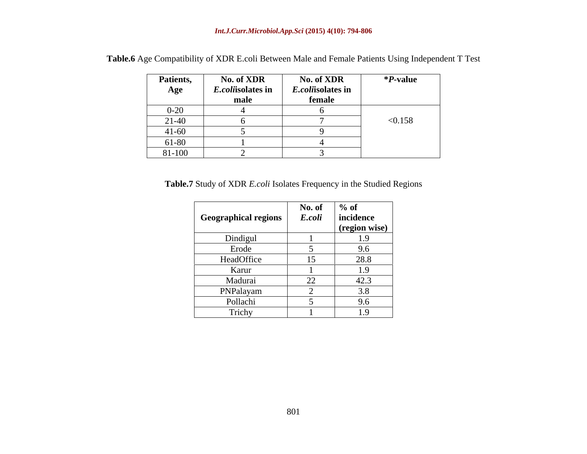| <b>Patients,</b> | No. of XDR        | No. of XDR        | <i>*P</i> -value |
|------------------|-------------------|-------------------|------------------|
| Age              | E.coliisolates in | E.coliisolates in |                  |
|                  | male              | female            |                  |
| $0 - 20$         |                   |                   |                  |
| $21-40$          |                   |                   | < 0.158          |
| $41 - 60$        |                   |                   |                  |
| 61-80            |                   |                   |                  |
| 81-100           |                   |                   |                  |

**Table.6** Age Compatibility of XDR E.coli Between Male and Female Patients Using Independent T Test

**Table.7** Study of XDR *E.coli* Isolates Frequency in the Studied Regions

|                      | No. of                               | $%$ of        |
|----------------------|--------------------------------------|---------------|
| Geographical regions | E.coli                               | incidence     |
|                      |                                      | (region wise) |
| Dindigul             |                                      | 1.7           |
| Erode                |                                      | 9.6           |
| HeadOffice           | 15                                   | 28.8          |
| Karur                |                                      | 1.9           |
| Madurai              | $\Omega$<br>$\overline{\phantom{a}}$ | 42.3          |
| PNPalayam            |                                      | 3.8           |
| Pollachi             |                                      | 9.6           |
| Trichy               |                                      | 1Q<br>1.7     |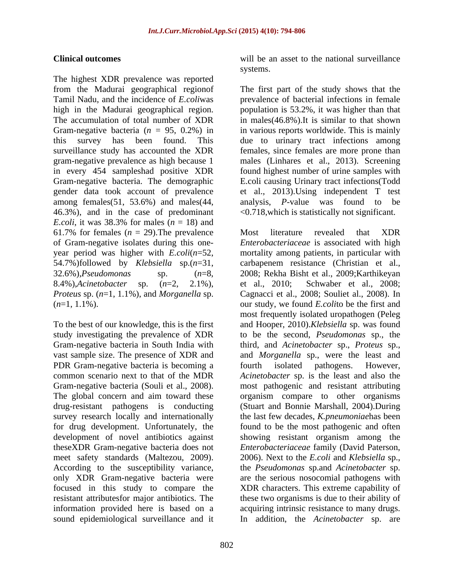The highest XDR prevalence was reported from the Madurai geographical regionof The first part of the study shows that the Tamil Nadu, and the incidence of *E.coli*was prevalence of bacterial infections in female high in the Madurai geographical region. population is 53.2%, it was higher than that The accumulation of total number of XDR in males(46.8%).It is similar to that shown Gram-negative bacteria (*n* = 95, 0.2%) in in various reports worldwide. This is mainly this survey has been found. This due to urinary tract infections among surveillance study has accounted the XDR females, since females are more prone than gram-negative prevalence as high because 1 males (Linhares et al., 2013). Screening in every 454 sampleshad positive XDR found highest number of urine samples with Gram-negative bacteria. The demographic E.coli causing Urinary tract infections(Todd gender data took account of prevalence et al., 2013).Using independent T test among females(51, 53.6%) and males(44, 46.3%), and in the case of predominant *E.coli*, it was 38.3% for males  $(n = 18)$  and 61.7% for females  $(n = 29)$ . The prevalence Most literature revealed that XDR of Gram-negative isolates during this one-

study investigating the prevalence of XDR PDR Gram-negative bacteria is becoming a fourth isolated pathogens. However, for drug development. Unfortunately, the sound epidemiological surveillance and it In addition, the *Acinetobacter* sp. are

**Clinical outcomes** will be an asset to the national surveillance systems.

> analysis, *P*-value was found to be <0.718,which is statistically not significant.

year period was higher with *E.coli*(*n*=52, mortality among patients, in particular with 54.7%)followed by *Klebsiella* sp.(*n*=31, carbapenem resistance (Christian et al., 32.6%),*Pseudomonas* sp. (*n*=8, 2008; Rekha Bisht et al., 2009;Karthikeyan 8.4%),*Acinetobacter* sp. (*n*=2, 2.1%), et al., 2010; Schwaber et al., 2008; *Proteus* sp. (*n*=1, 1.1%), and *Morganella* sp. Cagnacci et al., 2008; Souliet al., 2008). In (*n*=1, 1.1%). our study, we found *E.coli*to be the first and To the best of our knowledge, this is the first and Hooper, 2010).*Klebsiella* sp. was found Gram-negative bacteria in South India with third, and *Acinetobacter* sp., *Proteus* sp., vast sample size. The presence of XDR and and *Morganella* sp., were the least and common scenario next to that of the MDR *Acinetobacter* sp. is the least and also the Gram-negative bacteria (Souli et al., 2008). The most pathogenic and resistant attributing The global concern and aim toward these organism compare to other organisms drug-resistant pathogens is conducting (Stuart and Bonnie Marshall, 2004).During survey research locally and internationally the last few decades, *K.pneumoniae*has been development of novel antibiotics against showing resistant organism among the theseXDR Gram-negative bacteria does not *Enterobacteriaceae* family (David Paterson, meet safety standards (Maltezou, 2009). 2006). Next to the *E.coli* and *Klebsiella* sp., According to the susceptibility variance, the *Pseudomonas* sp.and *Acinetobacter* sp. only XDR Gram-negative bacteria were are the serious nosocomial pathogens with focused in this study to compare the XDR characters. This extreme capability of resistant attributesfor major antibiotics. The these two organisms is due to their ability of information provided here is based on a acquiring intrinsic resistance to many drugs. Most literature revealed that XDR *Enterobacteriaceae* is associated with high most frequently isolated uropathogen (Peleg to be the second, *Pseudomonas* sp., the fourth isolated pathogens. However, found to be the most pathogenic and often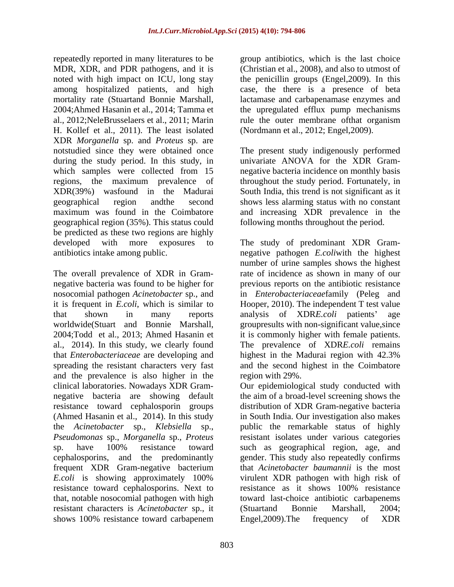repeatedly reported in many literatures to be group antibiotics, which is the last choice MDR, XDR, and PDR pathogens, and it is noted with high impact on ICU, long stay the penicillin groups (Engel,2009). In this among hospitalized patients, and high case, the there is a presence of beta mortality rate (Stuartand Bonnie Marshall, lactamase and carbapenamase enzymes and 2004;Ahmed Hasanin et al., 2014; Tamma et the upregulated efflux pump mechanisms al., 2012;NeleBrusselaers et al., 2011; Marin rule the outer membrane ofthat organism H. Kollef et al., 2011). The least isolated XDR *Morganella* sp. and *Proteus* sp. are notstudied since they were obtained once The present study indigenously performed during the study period. In this study, in which samples were collected from 15 megative bacteria incidence on monthly basis regions, the maximum prevalence of throughout the study period. Fortunately, in XDR(39%) wasfound in the Madurai South India, this trend is not significant as it geographical region andthe second shows less alarming status with no constant maximum was found in the Coimbatore and increasing XDR prevalence in the geographical region (35%). This status could be predicted as these two regions are highly

that *Enterobacteriaceae* are developing and and the prevalence is also higher in the clinical laboratories. Nowadays XDR Gram the *Acinetobacter* sp., *Klebsiella* sp., *Pseudomonas* sp., *Morganella* sp., *Proteus* frequent XDR Gram-negative bacterium<br>E.coli is showing approximately 100% resistance toward cephalosporins. Next to resistance as it shows 100% resistance resistant characters is *Acinetobacter* sp., it shows 100% resistance toward carbapenem Engel, 2009). The frequency of XDR

(Christian et al., 2008), and also to utmost of (Nordmann et al., 2012; Engel,2009).

univariate ANOVA for the XDR Gram following months throughout the period.

developed with more exposures to The study of predominant XDR Gram antibiotics intake among public. negative pathogen *E.coli*with the highest The overall prevalence of XDR in Gram- rate of incidence as shown in many of our negative bacteria was found to be higher for previous reports on the antibiotic resistance nosocomial pathogen *Acinetobacter* sp., and in *Enterobacteriaceae*family (Peleg and it is frequent in *E.coli*, which is similar to Hooper, 2010). The independent T test value that shown in many reports analysis of XDR*E.coli* patients' age worldwide(Stuart and Bonnie Marshall, groupresults with non-significant value,since 2004;Todd et al., 2013; Ahmed Hasanin et it is commonly higher with female patients. al., 2014). In this study, we clearly found The prevalence of XDR*E.coli* remains spreading the resistant characters very fast and the second highest in the Coimbatore number of urine samples shows the highest highest in the Madurai region with 42.3% region with 29%.

negative bacteria are showing default the aim of a broad-level screening shows the resistance toward cephalosporin groups distribution of XDR Gram-negative bacteria (Ahmed Hasanin et al., 2014). In this study in South India. Our investigation also makes sp. have 100% resistance toward such as geographical region, age, and cephalosporins, and the predominantly gender. This study also repeatedly confirms *E.coli* is showing approximately 100% virulent XDR pathogen with high risk of that, notable nosocomial pathogen with high toward last-choice antibiotic carbapenems Our epidemiological study conducted with public the remarkable status of highly resistant isolates under various categories that *Acinetobacter baumannii* is the most virulent XDR pathogen with high risk of resistance as it shows 100% resistance (Stuartand Bonnie Marshall, 2004; Engel,2009).The frequency of XDR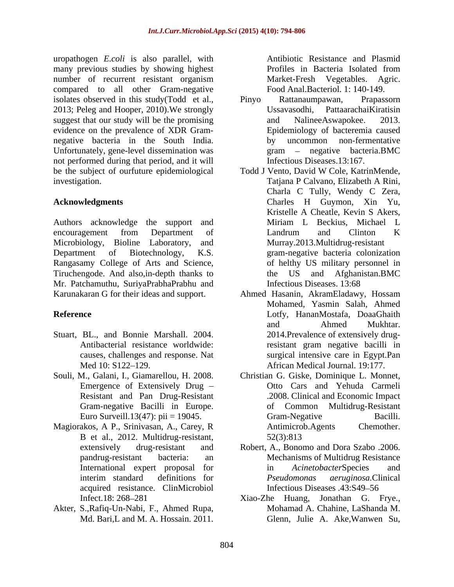uropathogen *E.coli* is also parallel, with many previous studies by showing highest Profiles in Bacteria Isolated from number of recurrent resistant organism compared to all other Gram-negative isolates observed in this study(Todd et al., Pinyo Rattanaumpawan, Prapassorn 2013; Peleg and Hooper, 2010). We strongly Ussavasodhi, Pattaarachai Kiratisin suggest that our study will be the promising and Nalinee Aswapokee. 2013. evidence on the prevalence of XDR Gram negative bacteria in the South India. Unfortunately, gene-level dissemination was  $\qquad \qquad \text{gram} \quad - \quad \text{negative} \quad \text{bacteria.BMC}$ not performed during that period, and it will be the subject of ourfuture epidemiological Todd J Vento, David W Cole, KatrinMende, investigation. The contract of the contract of the contract of the contract of the contract of the contract of the contract of the contract of the contract of the contract of the contract of the contract of the contract of

Authors acknowledge the support and Miriam L Beckius, Michael L Microbiology, Bioline Laboratory, and Rangasamy College of Arts and Science, Tiruchengode. And also, in-depth thanks to the US and Afghanistan. BMC Mr. Patchamuthu, SuriyaPrabhaPrabhu and Infectious Diseases. 13:68

- Stuart, BL., and Bonnie Marshall. 2004.
- 
- Magiorakos, A P., Srinivasan, A., Carey, R B et al., 2012. Multidrug-resistant,
- Akter, S.,Rafiq-Un-Nabi, F., Ahmed Rupa,

Antibiotic Resistance and Plasmid Profiles in Bacteria Isolated from Market-Fresh Vegetables. Agric. Food Anal.Bacteriol. 1: 140-149.

- Pinyo Rattanaumpawan, Prapassorn Ussavasodhi, PattaarachaiKiratisin and NalineeAswapokee. 2013. Epidemiology of bacteremia caused by uncommon non-fermentative gram – negative bacteria.BMC Infectious Diseases.13:167.
- **Acknowledgments** Charles H Guymon, Xin Yu, encouragement from Department of Landrum and Clinton K Department of Biotechnology, K.S. gram-negative bacteria colonization Todd J Vento, David W Cole, KatrinMende, Tatjana P Calvano, Elizabeth A Rini, Charla C Tully, Wendy C Zera, Charles H Guymon, Xin Yu, Kristelle A Cheatle, Kevin S Akers, Miriam L Beckius, Michael L Landrum and Clinton K Murray.2013.Multidrug-resistant of helthy US military personnel in the US and Afghanistan.BMC Infectious Diseases. 13:68
- Karunakaran G for their ideas and support. Ahmed Hasanin, AkramEladawy, Hossam **Reference** Lotfy, HananMostafa, DoaaGhaith Antibacterial resistance worldwide: resistant gram negative bacilli in causes, challenges and response. Nat surgical intensive care in Egypt.Pan Med 10: S122 129. African Medical Journal. 19:177. Mohamed, Yasmin Salah, Ahmed and Ahmed Mukhtar. 2014.Prevalence of extensively drug-
- Souli, M., Galani, I., Giamarellou, H. 2008. Christian G. Giske, Dominique L. Monnet, Emergence of Extensively Drug Otto Cars and Yehuda Carmeli Resistant and Pan Drug-Resistant .2008. Clinical and Economic Impact Gram-negative Bacilli in Europe. of Common Multidrug-Resistant Euro Surveill.13(47): pii = 19045. Gram-Negative Bacilli. Gram-Negative Bacilli. Antimicrob.Agents Chemother. 52(3):813
	- extensively drug-resistant and Robert, A., Bonomo and Dora Szabo .2006. pandrug-resistant bacteria: an International expert proposal for in AcinetobacterSpecies and interim standard definitions for *Pseudomonas aeruginosa*.Clinical acquired resistance. ClinMicrobiol Robert, A., Bonomo and Dora Szabo .2006. Mechanisms of Multidrug Resistance in *Acinetobacter*Species and *Pseudomonas aeruginosa.*Clinical Infectious Diseases .43:S49–56
	- Infect.18: 268 281 Xiao-Zhe Huang, Jonathan G. Frye., Md. Bari,L and M. A. Hossain. 2011. Glenn, Julie A. Ake,Wanwen Su,Mohamad A. Chahine, LaShanda M.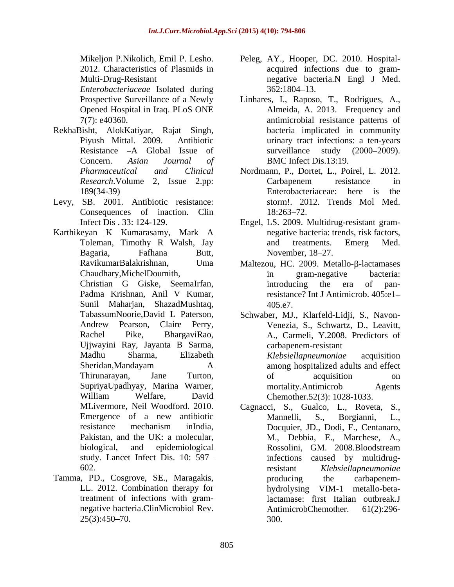*Enterobacteriaceae* Isolated during

- RekhaBisht, AlokKatiyar, Rajat Singh,
- Levy, SB. 2001. Antibiotic resistance: Consequences of inaction. Clin 18:263–72.
- Karthikeyan K Kumarasamy, Mark A

Sunil Maharjan, ShazadMushtaq, Ujjwayini Ray, Jayanta B Sarma,

Tamma, PD., Cosgrove, SE., Maragakis, treatment of infections with gram-

- Mikeljon P.Nikolich, Emil P. Lesho. Peleg, AY., Hooper, DC. 2010. Hospital- 2012. Characteristics of Plasmids in acquired infections due to gram- Multi-Drug-Resistant negative bacteria.N Engl J Med. 362:1804 13.
- Prospective Surveillance of a Newly Linhares, I., Raposo, T., Rodrigues, A., Opened Hospital in Iraq. PLoS ONE Almeida, A. 2013. Frequency and 7(7): e40360. antimicrobial resistance patterns of Piyush Mittal. 2009. Antibiotic urinary tract infections: a ten-years Resistance -A Global Issue of surveillance study (2000–2009). Concern. *Asian Journal of* bacteria implicated in community surveillance study (2000–2009). BMC Infect Dis.13:19.
- *Pharmaceutical and Clinical* Nordmann, P., Dortet, L., Poirel, L. 2012. *Research*.Volume 2, Issue 2.pp: 189(34-39) Enterobacteriaceae: here is the Carbapenem resistance in Enterobacteriaceae: here is the storm!. 2012. Trends Mol Med. 18:263–72.
- Infect Dis . 33: 124-129. Engel, LS. 2009. Multidrug-resistant gram- Toleman, Timothy R Walsh, Jay and treatments. Emerg Med. Bagaria, Fafhana Butt, November, 18–27. negative bacteria: trends, risk factors, and treatments. Emerg Med. November, 18–27.
- RavikumarBalakrishnan, Uma Maltezou, HC. 2009. Metallo-β-lactamases Chaudhary,MichelDoumith, Christian G Giske, SeemaIrfan, Padma Krishnan, Anil V Kumar, in gram-negative bacteria: introducing the era of panresistance? Int J Antimicrob. 405:e1 405.e7.
- TabassumNoorie,David L Paterson, Schwaber, MJ., Klarfeld-Lidji, S., Navon-Andrew Pearson, Claire Perry, Venezia, S., Schwartz, D., Leavitt, Rachel Pike, BhargaviRao, A., Carmeli, Y.2008. Predictors of Madhu Sharma, Elizabeth *Klebsiellapneumoniae* acquisition Sheridan,Mandayam A among hospitalized adults and effect Thirunarayan, Jane Turton, SupriyaUpadhyay, Marina Warner, William Welfare, David Chemother.52(3): 1028-1033. carbapenem-resistant *Klebsiellapneumoniae* acquisition of acquisition on mortality.Antimicrob Agents Chemother.52(3): 1028-1033.
- MLivermore, Neil Woodford. 2010. Cagnacci, S., Gualco, L., Roveta, S., Emergence of a new antibiotic resistance mechanism inIndia, Docquier, JD., Dodi, F., Centanaro, Pakistan, and the UK: a molecular, M., Debbia, E., Marchese, A., biological, and epidemiological M., Debbia, E., Marchese, A., Rossolini, GM. 2008.Bloodstream study. Lancet Infect Dis. 10: 597 infections caused by multidrug-602. The resistant Klebsiella preumoniae LL. 2012. Combination therapy for hydrolysing VIM-1 metallo-betanegative bacteria.ClinMicrobiol Rev. AntimicrobChemother. 61(2):296- $25(3):450-70.$  300. Cagnacci, S., Gualco, L., Roveta, S., Mannelli, S., Borgianni, L., Docquier, JD., Dodi, F., Centanaro, resistant *Klebsiellapneumoniae* producing the carbapenem hydrolysing VIM-1 metallo-betalactamase: first Italian outbreak.J AntimicrobChemother. 300.